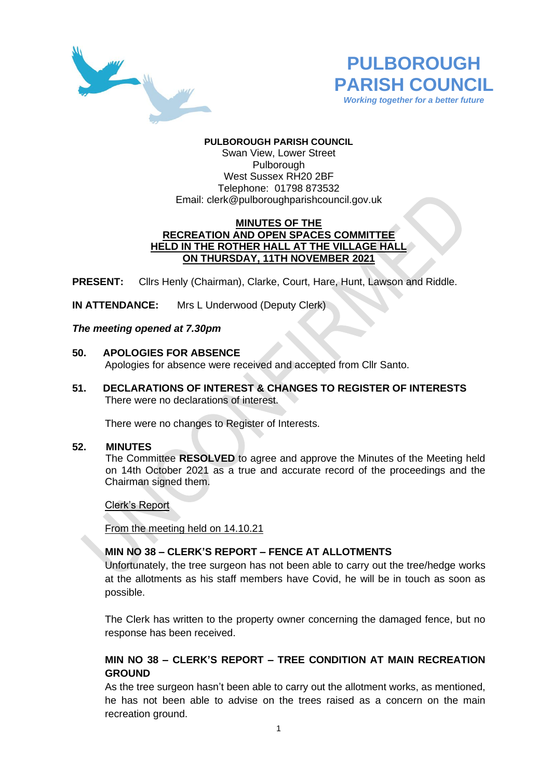



# **PULBOROUGH PARISH COUNCIL**

Swan View, Lower Street Pulborough West Sussex RH20 2BF Telephone: 01798 873532 Email: [clerk@pulboroughparishcouncil.gov.uk](mailto:clerk@pulboroughparishcouncil.gov.uk)

### **MINUTES OF THE RECREATION AND OPEN SPACES COMMITTEE HELD IN THE ROTHER HALL AT THE VILLAGE HALL ON THURSDAY, 11TH NOVEMBER 2021**

**PRESENT:** Cllrs Henly (Chairman), Clarke, Court, Hare, Hunt, Lawson and Riddle.

**IN ATTENDANCE:** Mrs L Underwood (Deputy Clerk)

### *The meeting opened at 7.30pm*

- **50. APOLOGIES FOR ABSENCE** Apologies for absence were received and accepted from Cllr Santo.
- **51. DECLARATIONS OF INTEREST & CHANGES TO REGISTER OF INTERESTS** There were no declarations of interest.

There were no changes to Register of Interests.

#### **52. MINUTES**

The Committee **RESOLVED** to agree and approve the Minutes of the Meeting held on 14th October 2021 as a true and accurate record of the proceedings and the Chairman signed them.

Clerk's Report

From the meeting held on 14.10.21

## **MIN NO 38 – CLERK'S REPORT – FENCE AT ALLOTMENTS**

Unfortunately, the tree surgeon has not been able to carry out the tree/hedge works at the allotments as his staff members have Covid, he will be in touch as soon as possible.

The Clerk has written to the property owner concerning the damaged fence, but no response has been received.

# **MIN NO 38 – CLERK'S REPORT – TREE CONDITION AT MAIN RECREATION GROUND**

As the tree surgeon hasn't been able to carry out the allotment works, as mentioned, he has not been able to advise on the trees raised as a concern on the main recreation ground.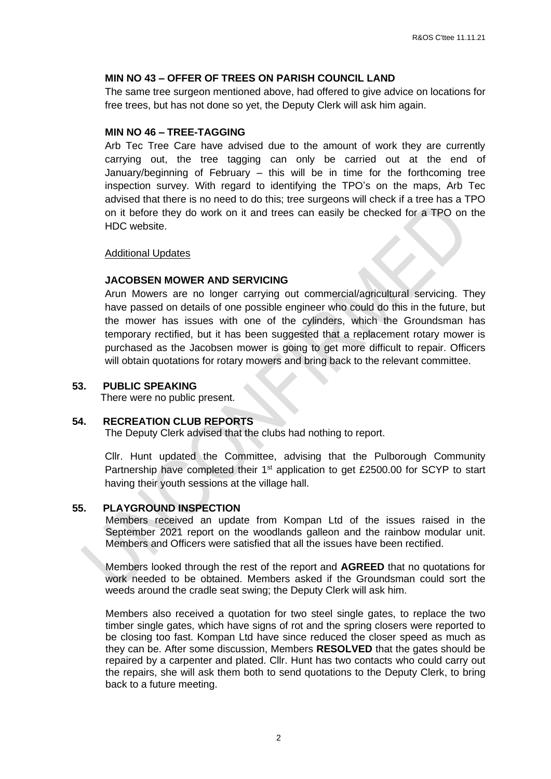## **MIN NO 43 – OFFER OF TREES ON PARISH COUNCIL LAND**

The same tree surgeon mentioned above, had offered to give advice on locations for free trees, but has not done so yet, the Deputy Clerk will ask him again.

#### **MIN NO 46 – TREE-TAGGING**

Arb Tec Tree Care have advised due to the amount of work they are currently carrying out, the tree tagging can only be carried out at the end of January/beginning of February – this will be in time for the forthcoming tree inspection survey. With regard to identifying the TPO's on the maps, Arb Tec advised that there is no need to do this; tree surgeons will check if a tree has a TPO on it before they do work on it and trees can easily be checked for a TPO on the HDC website.

#### Additional Updates

# **JACOBSEN MOWER AND SERVICING**

Arun Mowers are no longer carrying out commercial/agricultural servicing. They have passed on details of one possible engineer who could do this in the future, but the mower has issues with one of the cylinders, which the Groundsman has temporary rectified, but it has been suggested that a replacement rotary mower is purchased as the Jacobsen mower is going to get more difficult to repair. Officers will obtain quotations for rotary mowers and bring back to the relevant committee.

### **53. PUBLIC SPEAKING**

There were no public present.

## **54. RECREATION CLUB REPORTS**

The Deputy Clerk advised that the clubs had nothing to report.

Cllr. Hunt updated the Committee, advising that the Pulborough Community Partnership have completed their 1<sup>st</sup> application to get £2500.00 for SCYP to start having their youth sessions at the village hall.

#### **55. PLAYGROUND INSPECTION**

Members received an update from Kompan Ltd of the issues raised in the September 2021 report on the woodlands galleon and the rainbow modular unit. Members and Officers were satisfied that all the issues have been rectified.

Members looked through the rest of the report and **AGREED** that no quotations for work needed to be obtained. Members asked if the Groundsman could sort the weeds around the cradle seat swing; the Deputy Clerk will ask him.

Members also received a quotation for two steel single gates, to replace the two timber single gates, which have signs of rot and the spring closers were reported to be closing too fast. Kompan Ltd have since reduced the closer speed as much as they can be. After some discussion, Members **RESOLVED** that the gates should be repaired by a carpenter and plated. Cllr. Hunt has two contacts who could carry out the repairs, she will ask them both to send quotations to the Deputy Clerk, to bring back to a future meeting.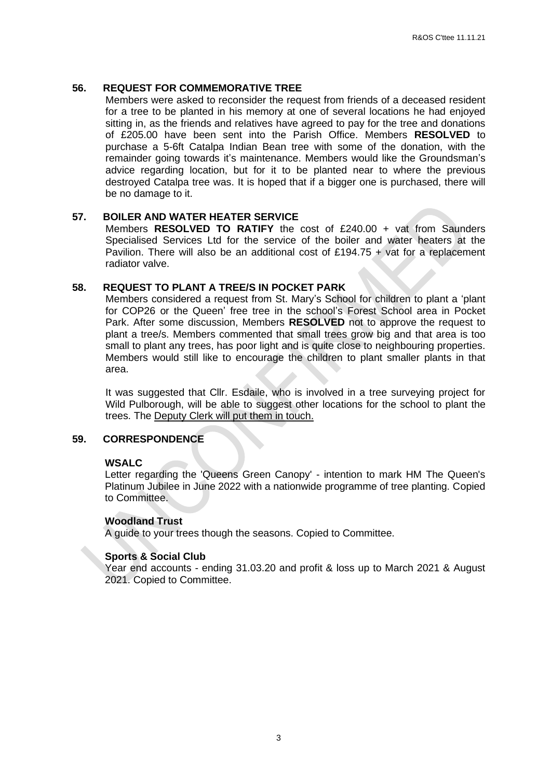## **56. REQUEST FOR COMMEMORATIVE TREE**

Members were asked to reconsider the request from friends of a deceased resident for a tree to be planted in his memory at one of several locations he had enjoyed sitting in, as the friends and relatives have agreed to pay for the tree and donations of £205.00 have been sent into the Parish Office. Members **RESOLVED** to purchase a 5-6ft Catalpa Indian Bean tree with some of the donation, with the remainder going towards it's maintenance. Members would like the Groundsman's advice regarding location, but for it to be planted near to where the previous destroyed Catalpa tree was. It is hoped that if a bigger one is purchased, there will be no damage to it.

#### **57. BOILER AND WATER HEATER SERVICE**

Members **RESOLVED TO RATIFY** the cost of £240.00 + vat from Saunders Specialised Services Ltd for the service of the boiler and water heaters at the Pavilion. There will also be an additional cost of £194.75 + vat for a replacement radiator valve.

#### **58. REQUEST TO PLANT A TREE/S IN POCKET PARK**

Members considered a request from St. Mary's School for children to plant a 'plant for COP26 or the Queen' free tree in the school's Forest School area in Pocket Park. After some discussion, Members **RESOLVED** not to approve the request to plant a tree/s. Members commented that small trees grow big and that area is too small to plant any trees, has poor light and is quite close to neighbouring properties. Members would still like to encourage the children to plant smaller plants in that area.

It was suggested that Cllr. Esdaile, who is involved in a tree surveying project for Wild Pulborough, will be able to suggest other locations for the school to plant the trees. The Deputy Clerk will put them in touch.

#### **59. CORRESPONDENCE**

### **WSALC**

Letter regarding the 'Queens Green Canopy' - intention to mark HM The Queen's Platinum Jubilee in June 2022 with a nationwide programme of tree planting. Copied to Committee.

#### **Woodland Trust**

A guide to your trees though the seasons. Copied to Committee.

## **Sports & Social Club**

Year end accounts - ending 31.03.20 and profit & loss up to March 2021 & August 2021. Copied to Committee.